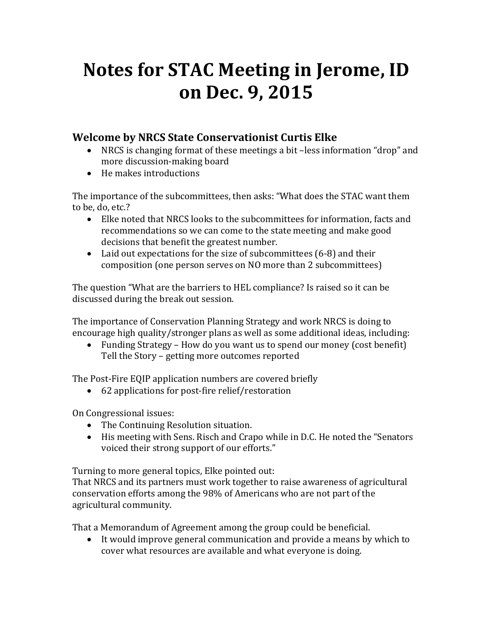# **Notes for STAC Meeting in Jerome, ID on Dec. 9, 2015**

# **Welcome by NRCS State Conservationist Curtis Elke**

- NRCS is changing format of these meetings a bit –less information "drop" and more discussion-making board
- He makes introductions

The importance of the subcommittees, then asks: "What does the STAC want them to be, do, etc.?

- Elke noted that NRCS looks to the subcommittees for information, facts and recommendations so we can come to the state meeting and make good decisions that benefit the greatest number.
- Laid out expectations for the size of subcommittees (6-8) and their composition (one person serves on NO more than 2 subcommittees)

The question "What are the barriers to HEL compliance? Is raised so it can be discussed during the break out session.

The importance of Conservation Planning Strategy and work NRCS is doing to encourage high quality/stronger plans as well as some additional ideas, including:

• Funding Strategy – How do you want us to spend our money (cost benefit) Tell the Story – getting more outcomes reported

The Post-Fire EQIP application numbers are covered briefly

• 62 applications for post-fire relief/restoration

On Congressional issues:

- The Continuing Resolution situation.
- His meeting with Sens. Risch and Crapo while in D.C. He noted the "Senators voiced their strong support of our efforts."

Turning to more general topics, Elke pointed out:

That NRCS and its partners must work together to raise awareness of agricultural conservation efforts among the 98% of Americans who are not part of the agricultural community.

That a Memorandum of Agreement among the group could be beneficial.

• It would improve general communication and provide a means by which to cover what resources are available and what everyone is doing.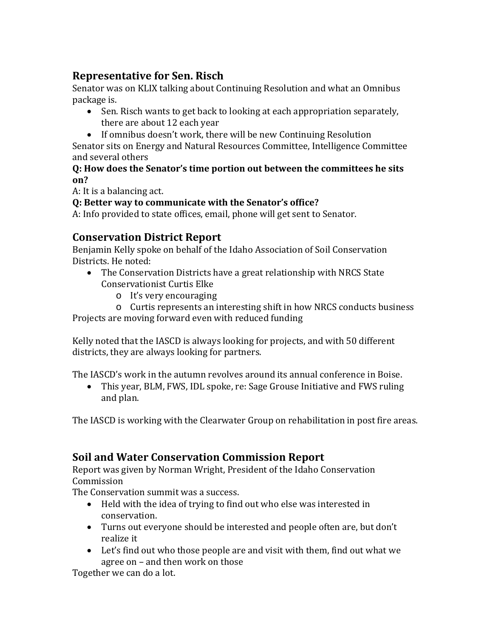# **Representative for Sen. Risch**

Senator was on KLIX talking about Continuing Resolution and what an Omnibus package is.

- Sen. Risch wants to get back to looking at each appropriation separately, there are about 12 each year
- If omnibus doesn't work, there will be new Continuing Resolution

Senator sits on Energy and Natural Resources Committee, Intelligence Committee and several others

#### **Q: How does the Senator's time portion out between the committees he sits on?**

A: It is a balancing act.

## **Q: Better way to communicate with the Senator's office?**

A: Info provided to state offices, email, phone will get sent to Senator.

# **Conservation District Report**

Benjamin Kelly spoke on behalf of the Idaho Association of Soil Conservation Districts. He noted:

- The Conservation Districts have a great relationship with NRCS State Conservationist Curtis Elke
	- o It's very encouraging

o Curtis represents an interesting shift in how NRCS conducts business Projects are moving forward even with reduced funding

Kelly noted that the IASCD is always looking for projects, and with 50 different districts, they are always looking for partners.

The IASCD's work in the autumn revolves around its annual conference in Boise.

• This year, BLM, FWS, IDL spoke, re: Sage Grouse Initiative and FWS ruling and plan.

The IASCD is working with the Clearwater Group on rehabilitation in post fire areas.

# **Soil and Water Conservation Commission Report**

Report was given by Norman Wright, President of the Idaho Conservation Commission

The Conservation summit was a success.

- Held with the idea of trying to find out who else was interested in conservation.
- Turns out everyone should be interested and people often are, but don't realize it
- Let's find out who those people are and visit with them, find out what we agree on – and then work on those

Together we can do a lot.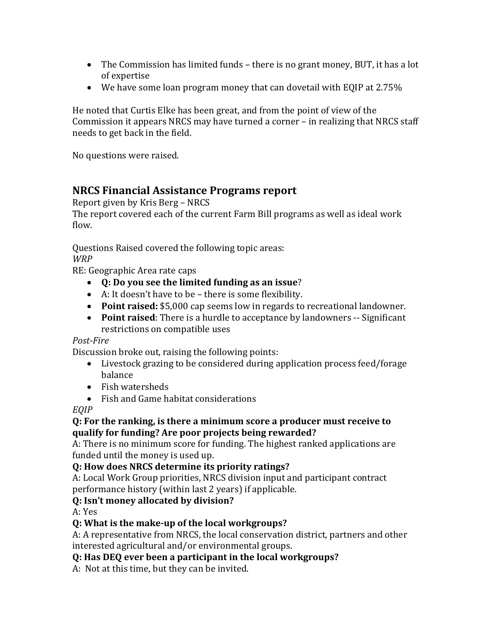- The Commission has limited funds there is no grant money, BUT, it has a lot of expertise
- We have some loan program money that can dovetail with EQIP at 2.75%

He noted that Curtis Elke has been great, and from the point of view of the Commission it appears NRCS may have turned a corner – in realizing that NRCS staff needs to get back in the field.

No questions were raised.

# **NRCS Financial Assistance Programs report**

Report given by Kris Berg – NRCS

The report covered each of the current Farm Bill programs as well as ideal work flow.

Questions Raised covered the following topic areas:

*WRP*

RE: Geographic Area rate caps

- **Q: Do you see the limited funding as an issue**?
- A: It doesn't have to be there is some flexibility.
- **Point raised:** \$5,000 cap seems low in regards to recreational landowner.
- **Point raised**: There is a hurdle to acceptance by landowners -- Significant restrictions on compatible uses

#### *Post-Fire*

Discussion broke out, raising the following points:

- Livestock grazing to be considered during application process feed/forage balance
- Fish watersheds
- Fish and Game habitat considerations

*EQIP*

#### **Q: For the ranking, is there a minimum score a producer must receive to qualify for funding? Are poor projects being rewarded?**

A: There is no minimum score for funding. The highest ranked applications are funded until the money is used up.

#### **Q: How does NRCS determine its priority ratings?**

A: Local Work Group priorities, NRCS division input and participant contract performance history (within last 2 years) if applicable.

#### **Q: Isn't money allocated by division?**

A: Yes

#### **Q: What is the make-up of the local workgroups?**

A: A representative from NRCS, the local conservation district, partners and other interested agricultural and/or environmental groups.

#### **Q: Has DEQ ever been a participant in the local workgroups?**

A: Not at this time, but they can be invited.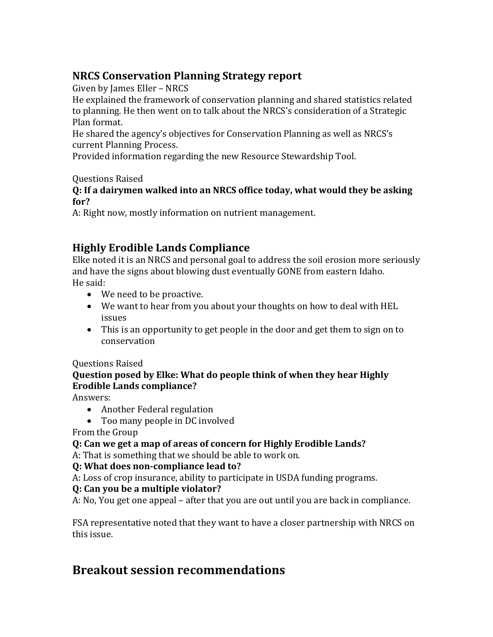# **NRCS Conservation Planning Strategy report**

Given by James Eller – NRCS

He explained the framework of conservation planning and shared statistics related to planning. He then went on to talk about the NRCS's consideration of a Strategic Plan format.

He shared the agency's objectives for Conservation Planning as well as NRCS's current Planning Process.

Provided information regarding the new Resource Stewardship Tool.

Questions Raised

**Q: If a dairymen walked into an NRCS office today, what would they be asking for?**

A: Right now, mostly information on nutrient management.

# **Highly Erodible Lands Compliance**

Elke noted it is an NRCS and personal goal to address the soil erosion more seriously and have the signs about blowing dust eventually GONE from eastern Idaho. He said:

- We need to be proactive.
- We want to hear from you about your thoughts on how to deal with HEL issues
- This is an opportunity to get people in the door and get them to sign on to conservation

#### Questions Raised

#### **Question posed by Elke: What do people think of when they hear Highly Erodible Lands compliance?**

Answers:

- Another Federal regulation
- Too many people in DC involved

From the Group

# **Q: Can we get a map of areas of concern for Highly Erodible Lands?**

A: That is something that we should be able to work on.

#### **Q: What does non-compliance lead to?**

A: Loss of crop insurance, ability to participate in USDA funding programs.

#### **Q: Can you be a multiple violator?**

A: No, You get one appeal – after that you are out until you are back in compliance.

FSA representative noted that they want to have a closer partnership with NRCS on this issue.

# **Breakout session recommendations**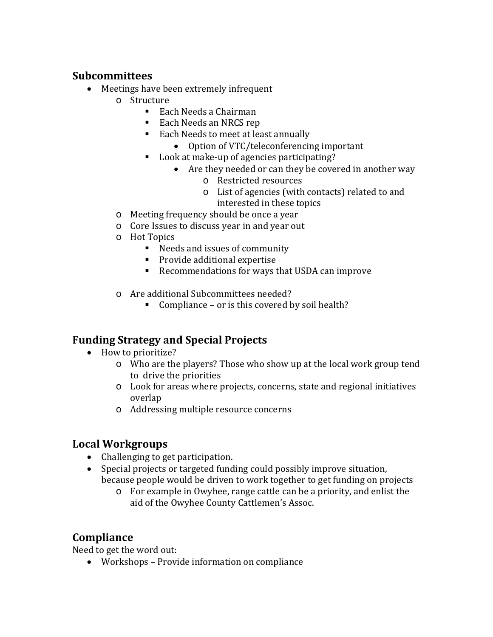## **Subcommittees**

- Meetings have been extremely infrequent
	- o Structure
		- Each Needs a Chairman
		- Each Needs an NRCS rep
		- Each Needs to meet at least annually
			- Option of VTC/teleconferencing important
		- Look at make-up of agencies participating?
			- Are they needed or can they be covered in another way
				- o Restricted resources
				- o List of agencies (with contacts) related to and interested in these topics
	- o Meeting frequency should be once a year
	- o Core Issues to discuss year in and year out
	- o Hot Topics
		- Needs and issues of community
		- **Provide additional expertise**
		- Recommendations for ways that USDA can improve
	- o Are additional Subcommittees needed?
		- Compliance or is this covered by soil health?

# **Funding Strategy and Special Projects**

- How to prioritize?
	- o Who are the players? Those who show up at the local work group tend to drive the priorities
	- o Look for areas where projects, concerns, state and regional initiatives overlap
	- o Addressing multiple resource concerns

# **Local Workgroups**

- Challenging to get participation.
- Special projects or targeted funding could possibly improve situation, because people would be driven to work together to get funding on projects
	- o For example in Owyhee, range cattle can be a priority, and enlist the aid of the Owyhee County Cattlemen's Assoc.

# **Compliance**

Need to get the word out:

• Workshops – Provide information on compliance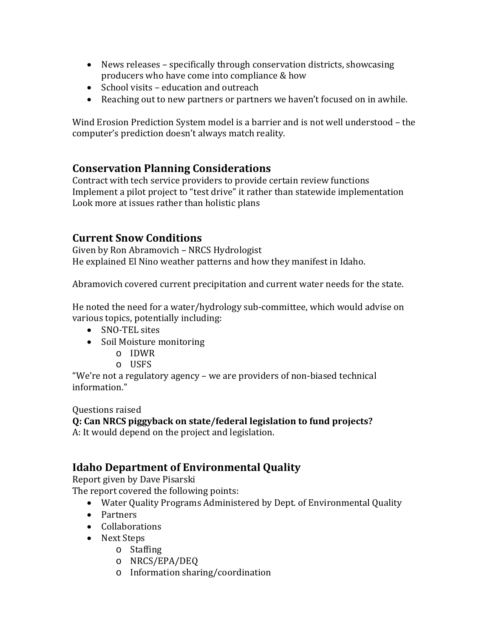- News releases specifically through conservation districts, showcasing producers who have come into compliance & how
- School visits education and outreach
- Reaching out to new partners or partners we haven't focused on in awhile.

Wind Erosion Prediction System model is a barrier and is not well understood – the computer's prediction doesn't always match reality.

# **Conservation Planning Considerations**

Contract with tech service providers to provide certain review functions Implement a pilot project to "test drive" it rather than statewide implementation Look more at issues rather than holistic plans

# **Current Snow Conditions**

Given by Ron Abramovich – NRCS Hydrologist He explained El Nino weather patterns and how they manifest in Idaho.

Abramovich covered current precipitation and current water needs for the state.

He noted the need for a water/hydrology sub-committee, which would advise on various topics, potentially including:

- SNO-TEL sites
- Soil Moisture monitoring
	- o IDWR
	- o USFS

"We're not a regulatory agency – we are providers of non-biased technical information."

Questions raised

**Q: Can NRCS piggyback on state/federal legislation to fund projects?** A: It would depend on the project and legislation.

# **Idaho Department of Environmental Quality**

Report given by Dave Pisarski

The report covered the following points:

- Water Quality Programs Administered by Dept. of Environmental Quality
- Partners
- Collaborations
- Next Steps
	- o Staffing
	- o NRCS/EPA/DEQ
	- o Information sharing/coordination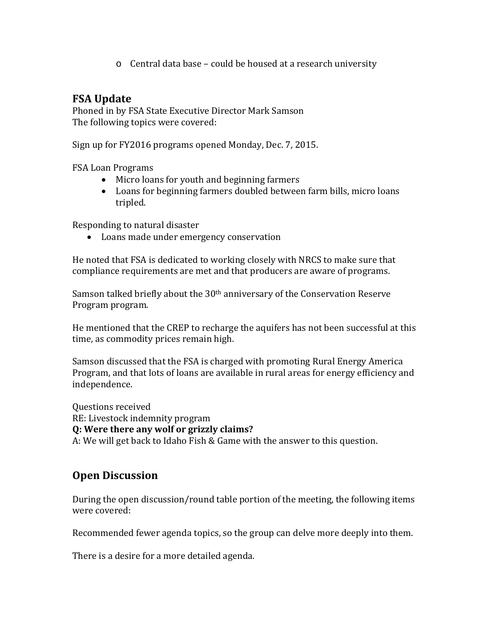o Central data base – could be housed at a research university

## **FSA Update**

Phoned in by FSA State Executive Director Mark Samson The following topics were covered:

Sign up for FY2016 programs opened Monday, Dec. 7, 2015.

FSA Loan Programs

- Micro loans for youth and beginning farmers
- Loans for beginning farmers doubled between farm bills, micro loans tripled.

Responding to natural disaster

• Loans made under emergency conservation

He noted that FSA is dedicated to working closely with NRCS to make sure that compliance requirements are met and that producers are aware of programs.

Samson talked briefly about the 30th anniversary of the Conservation Reserve Program program.

He mentioned that the CREP to recharge the aquifers has not been successful at this time, as commodity prices remain high.

Samson discussed that the FSA is charged with promoting Rural Energy America Program, and that lots of loans are available in rural areas for energy efficiency and independence.

Questions received RE: Livestock indemnity program **Q: Were there any wolf or grizzly claims?** 

A: We will get back to Idaho Fish & Game with the answer to this question.

# **Open Discussion**

During the open discussion/round table portion of the meeting, the following items were covered:

Recommended fewer agenda topics, so the group can delve more deeply into them.

There is a desire for a more detailed agenda.